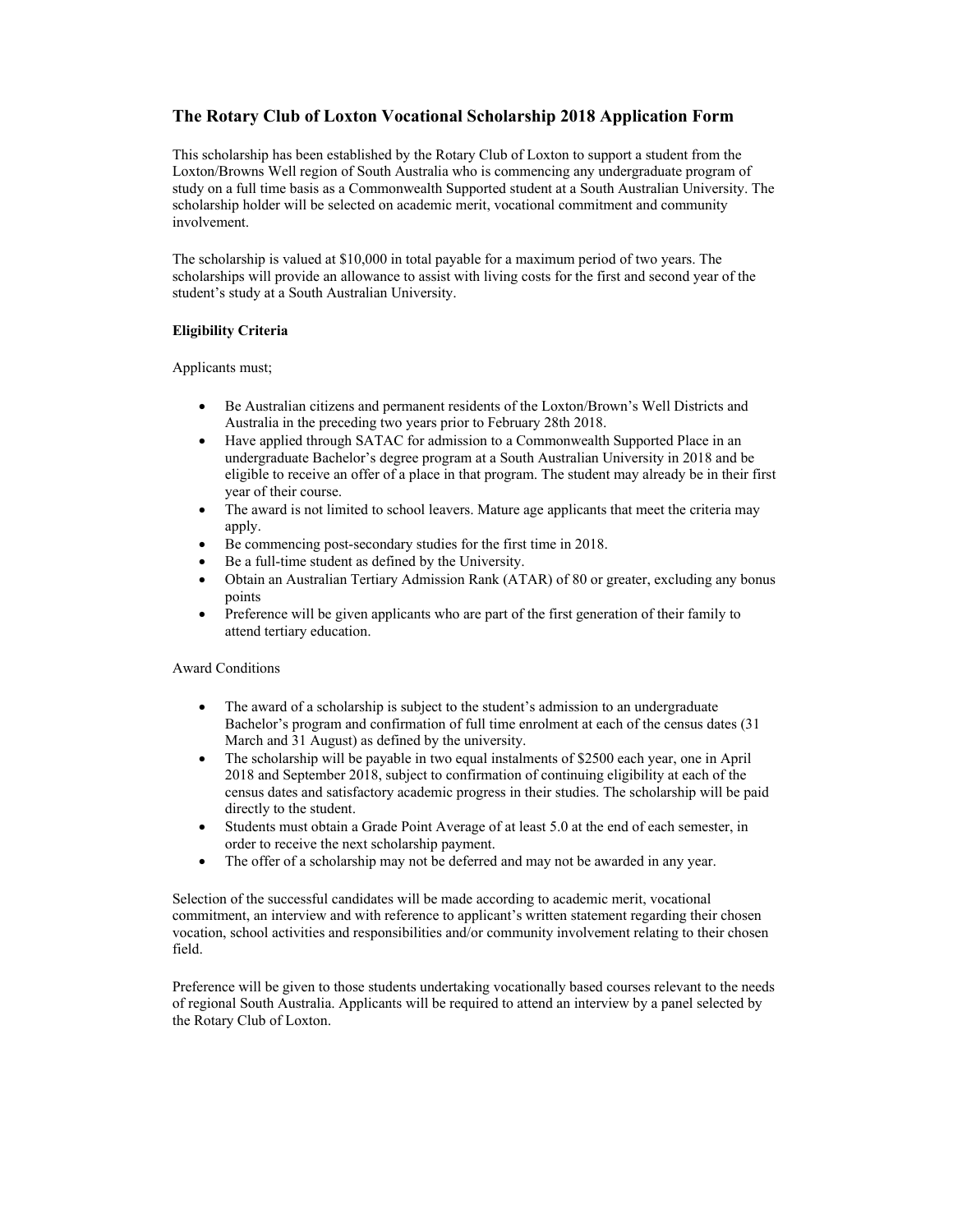## **The Rotary Club of Loxton Vocational Scholarship 2018 Application Form**

This scholarship has been established by the Rotary Club of Loxton to support a student from the Loxton/Browns Well region of South Australia who is commencing any undergraduate program of study on a full time basis as a Commonwealth Supported student at a South Australian University. The scholarship holder will be selected on academic merit, vocational commitment and community involvement.

The scholarship is valued at \$10,000 in total payable for a maximum period of two years. The scholarships will provide an allowance to assist with living costs for the first and second year of the student's study at a South Australian University.

## **Eligibility Criteria**

Applicants must;

- Be Australian citizens and permanent residents of the Loxton/Brown's Well Districts and Australia in the preceding two years prior to February 28th 2018.
- Have applied through SATAC for admission to a Commonwealth Supported Place in an undergraduate Bachelor's degree program at a South Australian University in 2018 and be eligible to receive an offer of a place in that program. The student may already be in their first year of their course.
- The award is not limited to school leavers. Mature age applicants that meet the criteria may apply.
- Be commencing post-secondary studies for the first time in 2018.
- Be a full-time student as defined by the University.
- Obtain an Australian Tertiary Admission Rank (ATAR) of 80 or greater, excluding any bonus points
- Preference will be given applicants who are part of the first generation of their family to attend tertiary education.

## Award Conditions

- The award of a scholarship is subject to the student's admission to an undergraduate Bachelor's program and confirmation of full time enrolment at each of the census dates (31 March and 31 August) as defined by the university.
- The scholarship will be payable in two equal instalments of \$2500 each year, one in April 2018 and September 2018, subject to confirmation of continuing eligibility at each of the census dates and satisfactory academic progress in their studies. The scholarship will be paid directly to the student.
- Students must obtain a Grade Point Average of at least 5.0 at the end of each semester, in order to receive the next scholarship payment.
- The offer of a scholarship may not be deferred and may not be awarded in any year.

Selection of the successful candidates will be made according to academic merit, vocational commitment, an interview and with reference to applicant's written statement regarding their chosen vocation, school activities and responsibilities and/or community involvement relating to their chosen field.

Preference will be given to those students undertaking vocationally based courses relevant to the needs of regional South Australia. Applicants will be required to attend an interview by a panel selected by the Rotary Club of Loxton.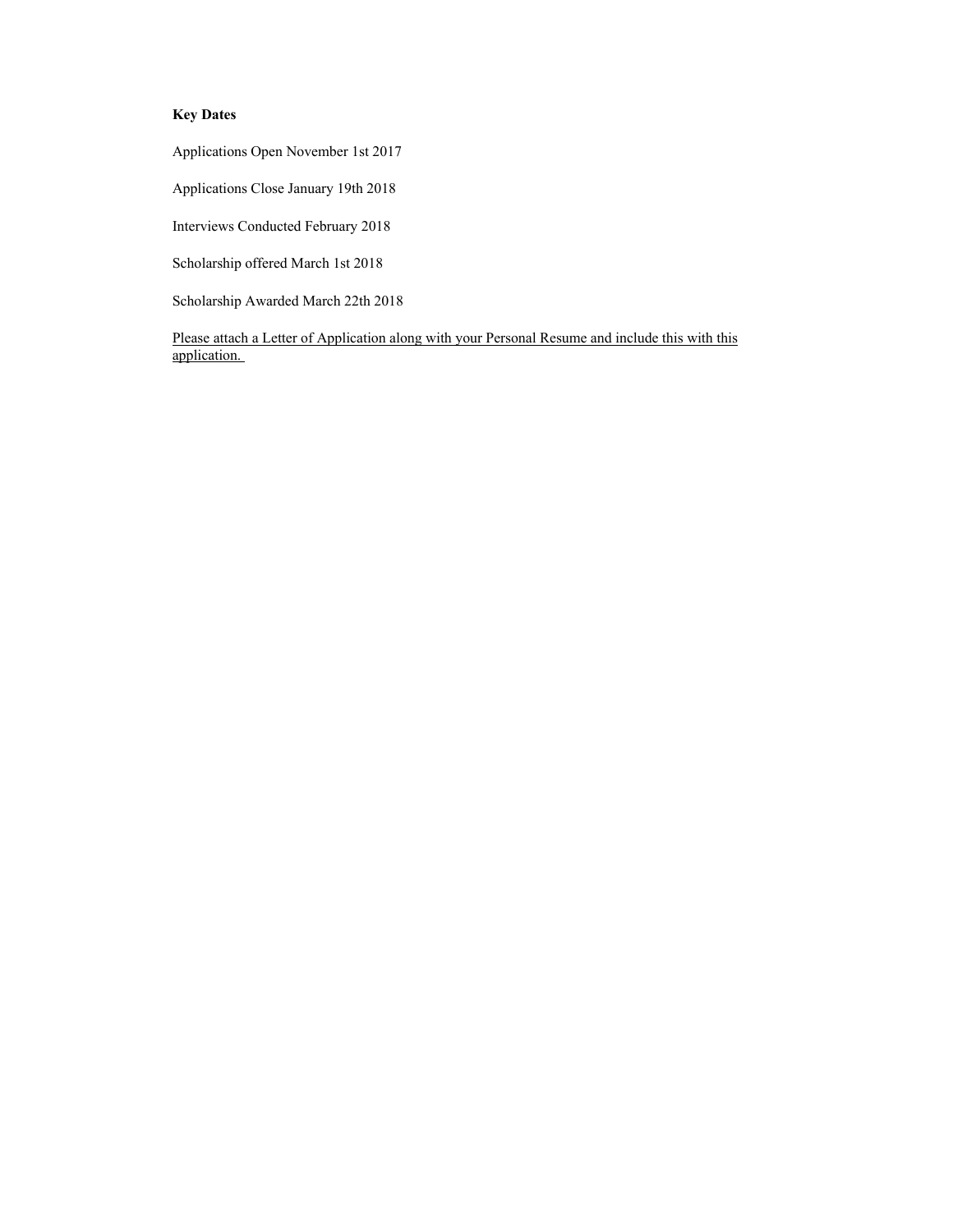## **Key Dates**

Applications Open November 1st 2017

Applications Close January 19th 2018

Interviews Conducted February 2018

Scholarship offered March 1st 2018

Scholarship Awarded March 22th 2018

Please attach a Letter of Application along with your Personal Resume and include this with this application.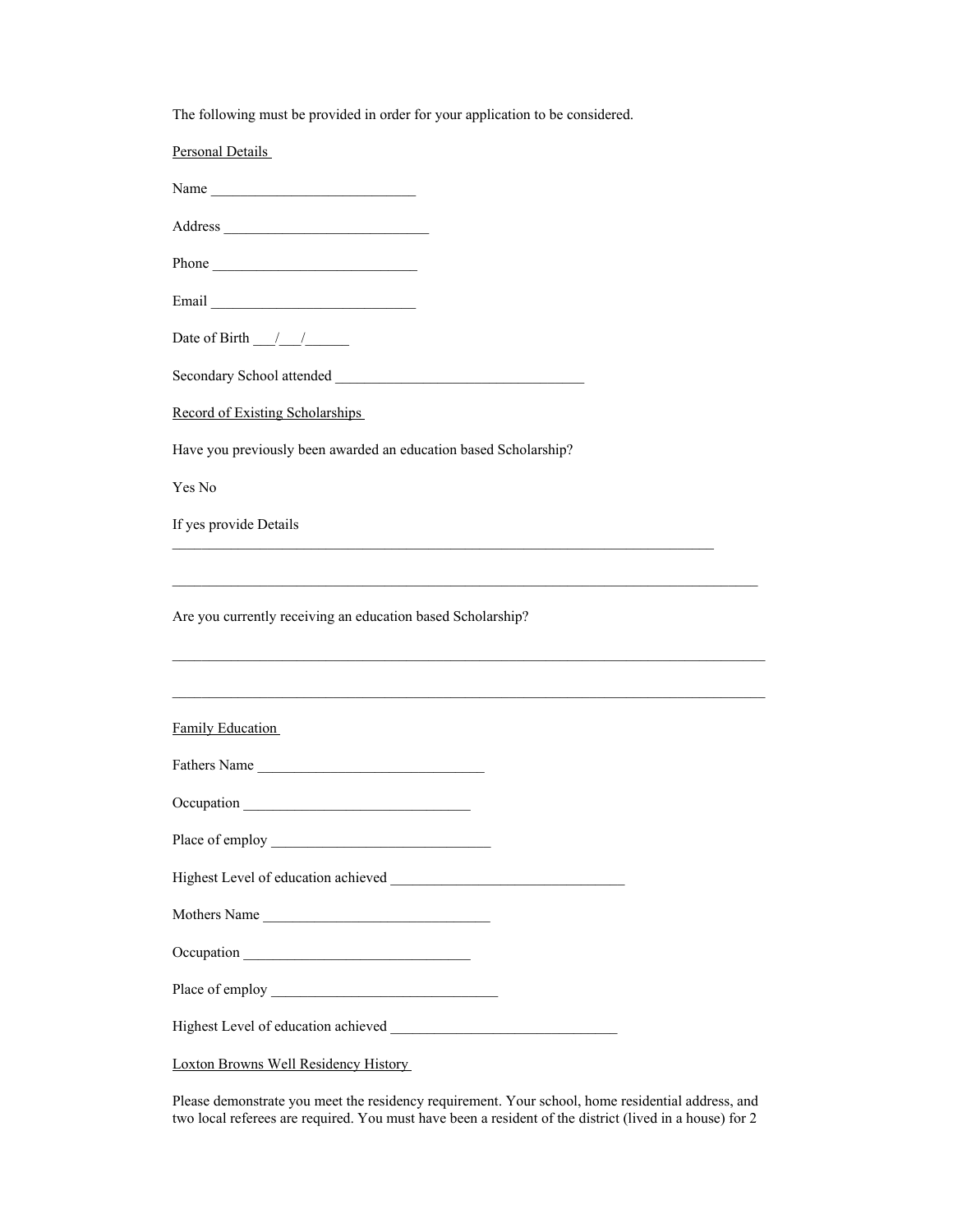| The following must be provided in order for your application to be considered. |  |  |
|--------------------------------------------------------------------------------|--|--|
|                                                                                |  |  |

| Personal Details                                                                  |  |  |  |  |
|-----------------------------------------------------------------------------------|--|--|--|--|
| Name                                                                              |  |  |  |  |
|                                                                                   |  |  |  |  |
| Phone                                                                             |  |  |  |  |
|                                                                                   |  |  |  |  |
| Date of Birth $\frac{1}{\sqrt{2}}$                                                |  |  |  |  |
|                                                                                   |  |  |  |  |
| Record of Existing Scholarships                                                   |  |  |  |  |
| Have you previously been awarded an education based Scholarship?                  |  |  |  |  |
| Yes No                                                                            |  |  |  |  |
| If yes provide Details                                                            |  |  |  |  |
|                                                                                   |  |  |  |  |
| Are you currently receiving an education based Scholarship?                       |  |  |  |  |
| ,我们也不能在这里的人,我们也不能在这里的人,我们也不能在这里的人,我们也不能在这里的人,我们也不能在这里的人,我们也不能在这里的人,我们也不能在这里的人,我们也 |  |  |  |  |
| Family Education                                                                  |  |  |  |  |
| Fathers Name                                                                      |  |  |  |  |
|                                                                                   |  |  |  |  |
|                                                                                   |  |  |  |  |
|                                                                                   |  |  |  |  |
| Mothers Name                                                                      |  |  |  |  |
|                                                                                   |  |  |  |  |
|                                                                                   |  |  |  |  |
|                                                                                   |  |  |  |  |
|                                                                                   |  |  |  |  |

Please demonstrate you meet the residency requirement. Your school, home residential address, and two local referees are required. You must have been a resident of the district (lived in a house) for 2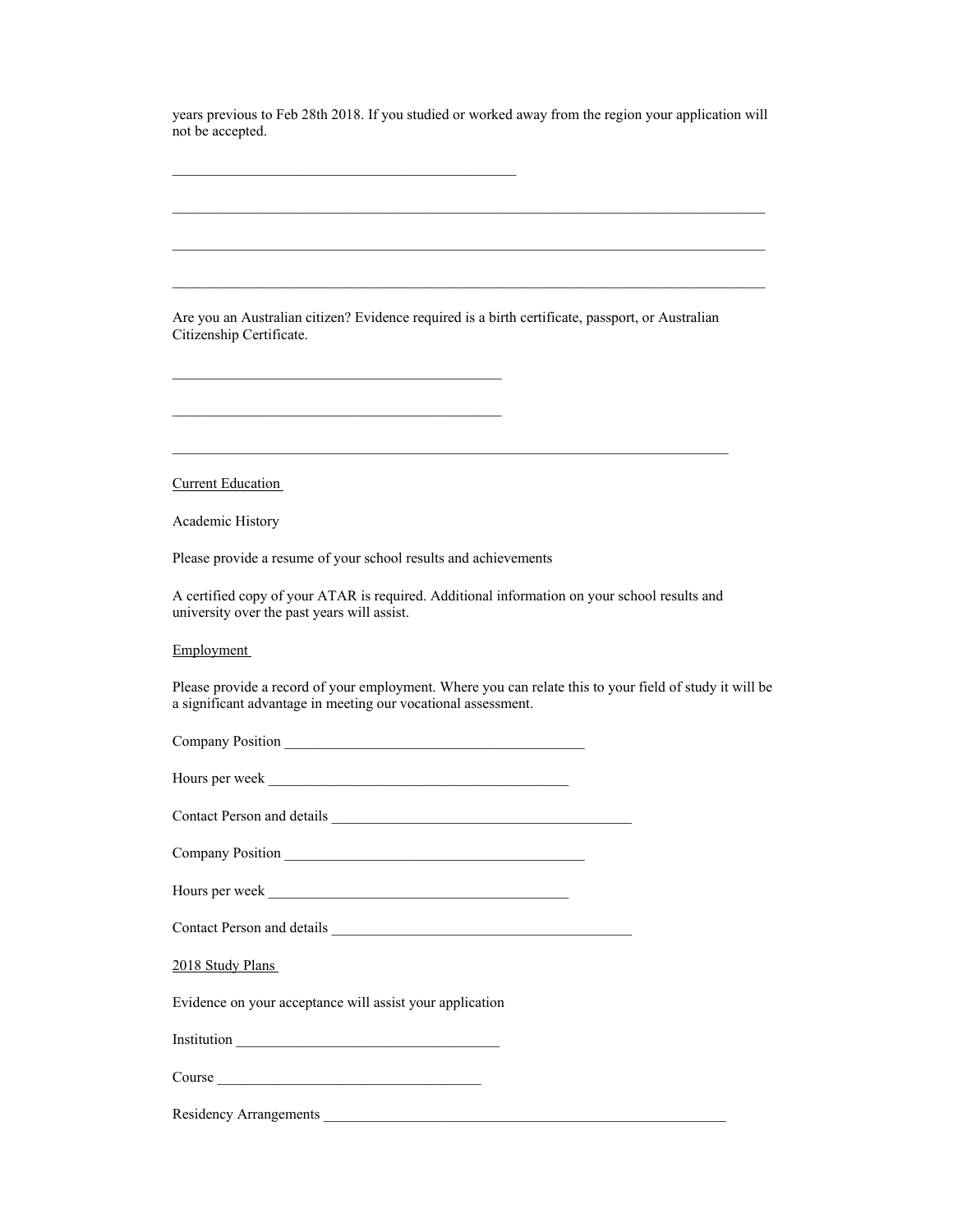years previous to Feb 28th 2018. If you studied or worked away from the region your application will not be accepted.

 $\mathcal{L}_\text{max}$  and the contract of the contract of the contract of the contract of the contract of the contract of the contract of the contract of the contract of the contract of the contract of the contract of the contrac

| Are you an Australian citizen? Evidence required is a birth certificate, passport, or Australian<br>Citizenship Certificate.                                             |
|--------------------------------------------------------------------------------------------------------------------------------------------------------------------------|
|                                                                                                                                                                          |
| the control of the control of the control of the control of the control of the control of                                                                                |
|                                                                                                                                                                          |
|                                                                                                                                                                          |
| <b>Current Education</b>                                                                                                                                                 |
| Academic History                                                                                                                                                         |
| Please provide a resume of your school results and achievements                                                                                                          |
| A certified copy of your ATAR is required. Additional information on your school results and<br>university over the past years will assist.                              |
| Employment                                                                                                                                                               |
| Please provide a record of your employment. Where you can relate this to your field of study it will be<br>a significant advantage in meeting our vocational assessment. |
|                                                                                                                                                                          |
|                                                                                                                                                                          |
|                                                                                                                                                                          |
|                                                                                                                                                                          |
|                                                                                                                                                                          |
|                                                                                                                                                                          |
| 2018 Study Plans                                                                                                                                                         |
| Evidence on your acceptance will assist your application                                                                                                                 |
|                                                                                                                                                                          |
| Course                                                                                                                                                                   |
|                                                                                                                                                                          |